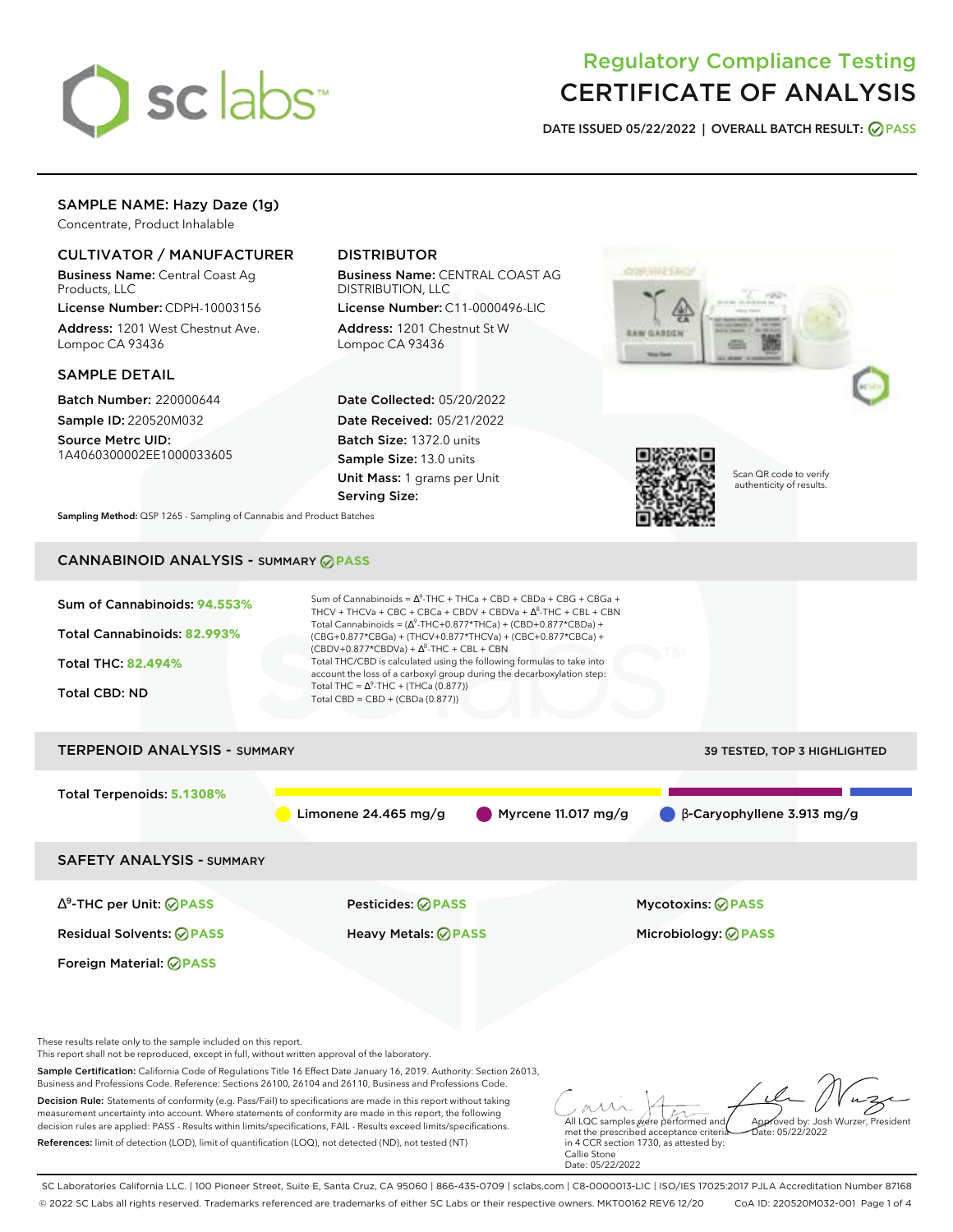

# Regulatory Compliance Testing CERTIFICATE OF ANALYSIS

**DATE ISSUED 05/22/2022 | OVERALL BATCH RESULT: PASS**

# SAMPLE NAME: Hazy Daze (1g)

Concentrate, Product Inhalable

## CULTIVATOR / MANUFACTURER

Business Name: Central Coast Ag Products, LLC

License Number: CDPH-10003156 Address: 1201 West Chestnut Ave. Lompoc CA 93436

### SAMPLE DETAIL

Batch Number: 220000644 Sample ID: 220520M032

Source Metrc UID: 1A4060300002EE1000033605

# DISTRIBUTOR

Business Name: CENTRAL COAST AG DISTRIBUTION, LLC

License Number: C11-0000496-LIC Address: 1201 Chestnut St W Lompoc CA 93436

Date Collected: 05/20/2022 Date Received: 05/21/2022 Batch Size: 1372.0 units Sample Size: 13.0 units Unit Mass: 1 grams per Unit Serving Size:





Scan QR code to verify authenticity of results.

**Sampling Method:** QSP 1265 - Sampling of Cannabis and Product Batches

# CANNABINOID ANALYSIS - SUMMARY **PASS**



These results relate only to the sample included on this report.

This report shall not be reproduced, except in full, without written approval of the laboratory.

Sample Certification: California Code of Regulations Title 16 Effect Date January 16, 2019. Authority: Section 26013, Business and Professions Code. Reference: Sections 26100, 26104 and 26110, Business and Professions Code.

Decision Rule: Statements of conformity (e.g. Pass/Fail) to specifications are made in this report without taking measurement uncertainty into account. Where statements of conformity are made in this report, the following decision rules are applied: PASS - Results within limits/specifications, FAIL - Results exceed limits/specifications. References: limit of detection (LOD), limit of quantification (LOQ), not detected (ND), not tested (NT)

All LQC samples were performed and met the prescribed acceptance criteria Approved by: Josh Wurzer, President  $ate: 05/22/2022$ 

in 4 CCR section 1730, as attested by: Callie Stone Date: 05/22/2022

SC Laboratories California LLC. | 100 Pioneer Street, Suite E, Santa Cruz, CA 95060 | 866-435-0709 | sclabs.com | C8-0000013-LIC | ISO/IES 17025:2017 PJLA Accreditation Number 87168 © 2022 SC Labs all rights reserved. Trademarks referenced are trademarks of either SC Labs or their respective owners. MKT00162 REV6 12/20 CoA ID: 220520M032-001 Page 1 of 4